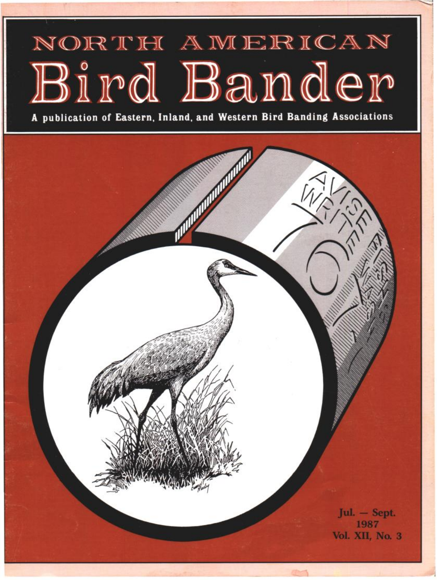## NORTH AMERICAN Bird Bander

**A publication of Eastern, Inland, and Western Bird Banding Associations** 

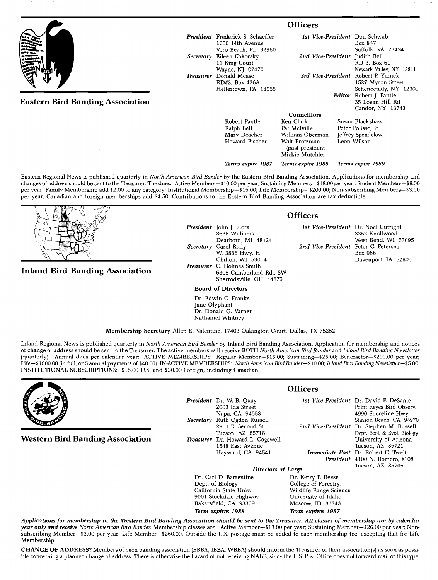|                                         | <b>Officers</b>                                                                       |                                                                                                                            |                                                                             |
|-----------------------------------------|---------------------------------------------------------------------------------------|----------------------------------------------------------------------------------------------------------------------------|-----------------------------------------------------------------------------|
|                                         | <b>President</b> Frederick S. Schaeffer<br>1650 14th Avenue                           | 1st Vice-President Don Schwab                                                                                              | Box 847                                                                     |
|                                         | Vero Beach, FL 32960<br>Secretary Eileen Kokorsky<br>11 King Court<br>Wayne, NJ 07470 | 2nd Vice-President                                                                                                         | Suffolk, VA 23434<br>Judith Bell<br>RD 3, Box 61<br>Newark Valley, NY 13811 |
|                                         | Treasurer Donald Mease<br>RD#2, Box 436A<br>Hellertown, PA 18055                      | 3rd Vice-President Robert P. Yunick                                                                                        | 1527 Myron Street<br>Schenectady, NY 12309                                  |
| <b>Eastern Bird Banding Association</b> |                                                                                       |                                                                                                                            | Editor Robert J. Pantle<br>35 Logan Hill Rd.<br>Candor, NY 13743            |
|                                         | Robert Pantle<br>Ralph Bell<br>Mary Doscher<br>Howard Fischer                         | <b>Councillors</b><br>Ken Clark<br>Pat Melville<br>William Oberman<br>Walt Protzman<br>(past president)<br>Mickie Mutchler | Susan Blackshaw<br>Peter Polisse, Jr.<br>Jeffrey Spendelow<br>Leon Wilson   |

**Eastern Regional News is published quarterly in North American Bird Bander by the Eastern Bird Banding Association. Applications for membership and**  changes of address should be sent to the Treasurer. The dues: Active Members-\$10.00 per year; Sustaining Members-\$18.00 per year; Student Members-\$8.00 **per year; Family Membership add \$2.00 to any category; Institutional Membership--\$15.00; Life Membership--S200.00; Non-subscribing Members--S3.00 per year. Canadian and foreign memberships add \$4.50. Contributions to the Eastern Bird Banding Association are tax deductible.** 

**Inland Bird Banding Association** 

**3636 Williams Dearborn, MI 48124 Secretary Carol Rudy W. 3866 Hwy. H. Chilton, WI 53014 Treasurer C. Holmes Smith 6305 Cumberland Rd., SW Sherrodsville, OH 44675 Board of Directors** 

**Dr. Edwin C. Franks Jane Olyphant** 

**Dr. Donald G. Varner Nathaniel Whitney** 

**Membership Secretary Allen E. Valentine, 17403 Oakington Court, Dallas, TX 75252** 

**Inland Regional News is published quarterly in North American Bird Bander by Inland Bird Banding Association. Application for membership and notices**  of change of address should be sent to the Treasurer. The active members will receive BOTH North American Bird Bander and Inland Bird Banding Newsletter **lquarterlyl: Annual dues per calendar year: ACTIVE MEMBERSHIPS: Regular Member--S15.00; Sustaining--S25.00; Benefactor--S200.00 per year;**  Life-\$1000.00 (in full, or 5 annual payments of \$40.00). IN ACTIVE MEMBERSHIPS: North American Bird Bander-\$10.00; Inland Bird Banding Newsletter-\$5.00. **INSTITUTIONAL SUBSCRIPTIONS: \$15.00 U.S. and \$20.00 Foreign, including Canadian.** 



**Western Bird Banding Association** 

**President** Dr. W. B. Quay **2003 Ida Street Napa, CA 94558 Secretary Ruth Ogden Russell**  2901 E. Second St. **Tucson, AZ 85716 Treasurer Dr. Howard L. Cogswell 1548 East Avenue**  Hayward, CA 94541

**Officers** 

**President 4100 N. Romero, #108**  1st Vice-President Dr. David F. DeSante **Point Reyes Bird Observ. 4990 Shoreline Hwy Stinson Beach, CA 94970**  2nd Vice-President Dr. Stephen M. Russell **Dept. Ecol. & Evol. Biology University of Arizona Tucson, AZ 85721**  Immediate Past Dr. Robert C. Tweit **Tucson, AZ 85705** 

Dr. Carl D. Barrentine<br>Dept. of Biology **Dept. of Biology College of Forestry, 9001 Stockdale Highway University of Idaho**  Bakersfield, CA 93309 **Term expires 1988 Term expires 1987** 

**Directors at Large**<br><sup>2</sup> Dr. Kerry P. Reese **Wildlife Range Science**<br>University of Idaho

**Applications for membership in the Western Bird Banding Association should be sent to the Treasurer. All classes of membership are by calendar**  year only and receive North American Bird Bander. Membership classes are: Active Member-\$13.00 per year; Sustaining Member-\$26.00 per year; Non**subscribing Member--S3.00 per year; Life Member--S260.00. Outside the U.S. postage must be added to each membership fee, excepting that for Life Membership.** 

**CHANGE OF ADDRESS?** Members of each banding association (EBBA, IBBA, WBBA) should inform the Treasurer of their association(s) as soon as possi**ble concerning aplanned change of address. There is otherwise the hazard of not receiving NABB, since the U.S. Post Office does not forward mail of this type.** 

**President John J. Flora** 

## **Officers**

**Terms expire 1987 Terms expire 1988 Terms expire 1989** 

**1st Vice-President Dr. Noel Cutright 3352 Knollwood West Bend, WI 53095 2nd Vice-President Peter C. Petersen Box 966 Davenport, IA 52805**